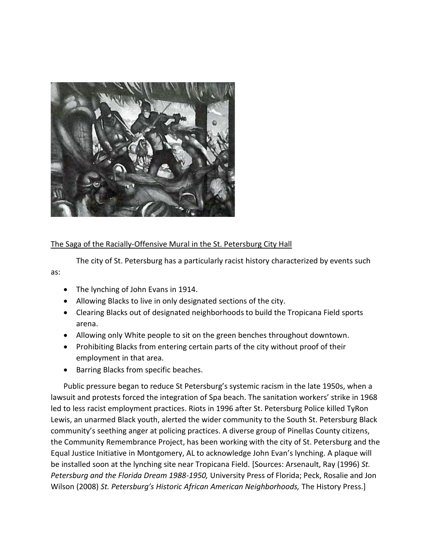

## The Saga of the Racially-Offensive Mural in the St. Petersburg City Hall

The city of St. Petersburg has a particularly racist history characterized by events such as:

- The lynching of John Evans in 1914.
- Allowing Blacks to live in only designated sections of the city.
- Clearing Blacks out of designated neighborhoods to build the Tropicana Field sports arena.
- Allowing only White people to sit on the green benches throughout downtown.
- Prohibiting Blacks from entering certain parts of the city without proof of their employment in that area.
- Barring Blacks from specific beaches.

Public pressure began to reduce St Petersburg's systemic racism in the late 1950s, when a lawsuit and protests forced the integration of Spa beach. The sanitation workers' strike in 1968 led to less racist employment practices. Riots in 1996 after St. Petersburg Police killed TyRon Lewis, an unarmed Black youth, alerted the wider community to the South St. Petersburg Black community's seething anger at policing practices. A diverse group of Pinellas County citizens, the Community Remembrance Project, has been working with the city of St. Petersburg and the Equal Justice Initiative in Montgomery, AL to acknowledge John Evan's lynching. A plaque will be installed soon at the lynching site near Tropicana Field. [Sources: Arsenault, Ray (1996) *St. Petersburg and the Florida Dream 1988-1950,* University Press of Florida; Peck, Rosalie and Jon Wilson (2008) *St. Petersburg's Historic African American Neighborhoods,* The History Press.]